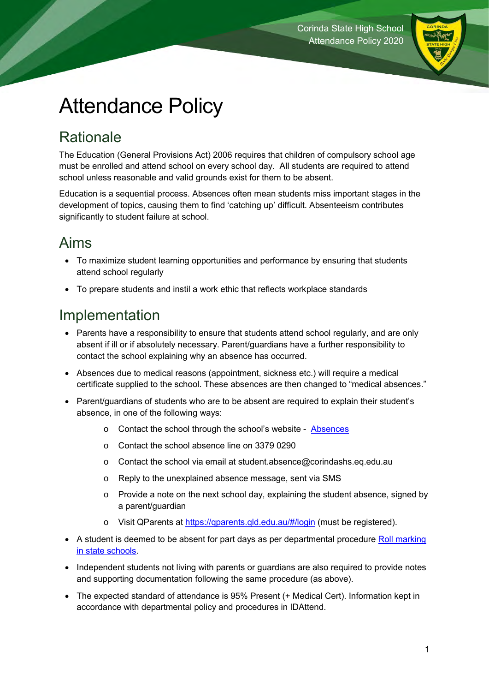

# Attendance Policy

# **Rationale**

The Education (General Provisions Act) 2006 requires that children of compulsory school age must be enrolled and attend school on every school day. All students are required to attend school unless reasonable and valid grounds exist for them to be absent.

Education is a sequential process. Absences often mean students miss important stages in the development of topics, causing them to find 'catching up' difficult. Absenteeism contributes significantly to student failure at school.

## Aims

- To maximize student learning opportunities and performance by ensuring that students attend school regularly
- To prepare students and instil a work ethic that reflects workplace standards

## Implementation

- Parents have a responsibility to ensure that students attend school regularly, and are only absent if ill or if absolutely necessary. Parent/guardians have a further responsibility to contact the school explaining why an absence has occurred.
- Absences due to medical reasons (appointment, sickness etc.) will require a medical certificate supplied to the school. These absences are then changed to "medical absences."
- Parent/guardians of students who are to be absent are required to explain their student's absence, in one of the following ways:
	- o Contact the school through the school's website [Absences](https://corindashs.eq.edu.au/our-school/absences)
	- o Contact the school absence line on 3379 0290
	- o Contact the school via email at [student.absence@corindashs.eq.edu.au](mailto:student.absence@corindashs.eq.edu.au)
	- o Reply to the unexplained absence message, sent via SMS
	- o Provide a note on the next school day, explaining the student absence, signed by a parent/guardian
	- o Visit QParents at<https://qparents.qld.edu.au/#/login> (must be registered).
- A student is deemed to be absent for part days as per departmental procedure Roll marking [in state schools.](https://ppr.qed.qld.gov.au/education/management/Procedure%20Attachments/Roll%20Marking%20in%20State%20Schools/roll-marking-in-state-schools.pdf)
- Independent students not living with parents or guardians are also required to provide notes and supporting documentation following the same procedure (as above).
- The expected standard of attendance is 95% Present (+ Medical Cert). Information kept in accordance with departmental policy and procedures in IDAttend.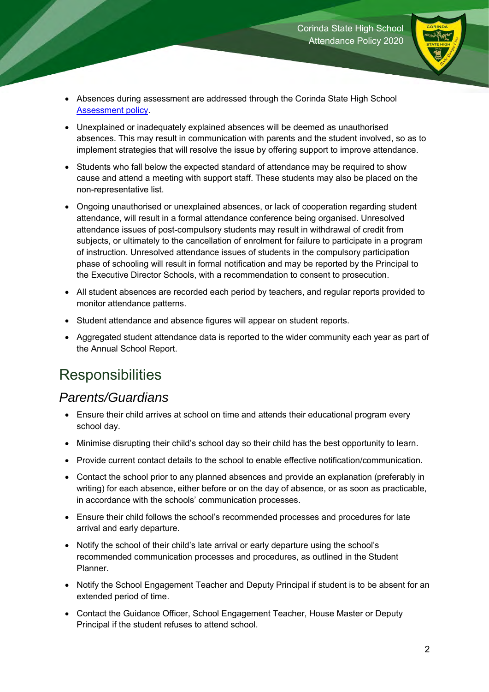

- Absences during assessment are addressed through the Corinda State High School [Assessment policy.](https://corindashs.eq.edu.au/SupportAndResources/FormsAndDocuments/Documents/General%20information%20and%20policies/Policies/Assessment%20Policy%202020%20v1.2.pdf)
- Unexplained or inadequately explained absences will be deemed as unauthorised absences. This may result in communication with parents and the student involved, so as to implement strategies that will resolve the issue by offering support to improve attendance.
- Students who fall below the expected standard of attendance may be required to show cause and attend a meeting with support staff. These students may also be placed on the non-representative list.
- Ongoing unauthorised or unexplained absences, or lack of cooperation regarding student attendance, will result in a formal attendance conference being organised. Unresolved attendance issues of post-compulsory students may result in withdrawal of credit from subjects, or ultimately to the cancellation of enrolment for failure to participate in a program of instruction. Unresolved attendance issues of students in the compulsory participation phase of schooling will result in formal notification and may be reported by the Principal to the Executive Director Schools, with a recommendation to consent to prosecution.
- All student absences are recorded each period by teachers, and regular reports provided to monitor attendance patterns.
- Student attendance and absence figures will appear on student reports.
- Aggregated student attendance data is reported to the wider community each year as part of the Annual School Report.

## **Responsibilities**

#### *Parents/Guardians*

- Ensure their child arrives at school on time and attends their educational program every school day.
- Minimise disrupting their child's school day so their child has the best opportunity to learn.
- Provide current contact details to the school to enable effective notification/communication.
- Contact the school prior to any planned absences and provide an explanation (preferably in writing) for each absence, either before or on the day of absence, or as soon as practicable, in accordance with the schools' communication processes.
- Ensure their child follows the school's recommended processes and procedures for late arrival and early departure.
- Notify the school of their child's late arrival or early departure using the school's recommended communication processes and procedures, as outlined in the Student Planner.
- Notify the School Engagement Teacher and Deputy Principal if student is to be absent for an extended period of time.
- Contact the Guidance Officer, School Engagement Teacher, House Master or Deputy Principal if the student refuses to attend school.